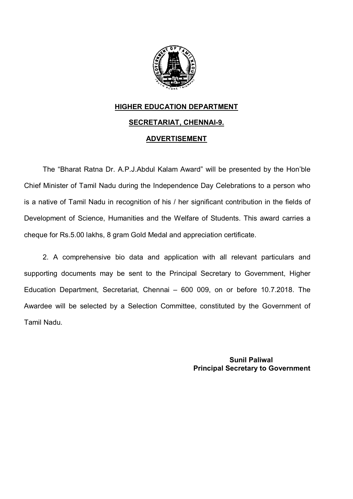

## **HIGHER EDUCATION DEPARTMENT SECRETARIAT, CHENNAI-9. ADVERTISEMENT**

The "Bharat Ratna Dr. A.P.J.Abdul Kalam Award" will be presented by the Hon'ble Chief Minister of Tamil Nadu during the Independence Day Celebrations to a person who is a native of Tamil Nadu in recognition of his / her significant contribution in the fields of Development of Science, Humanities and the Welfare of Students. This award carries a cheque for Rs.5.00 lakhs, 8 gram Gold Medal and appreciation certificate.

2. A comprehensive bio data and application with all relevant particulars and supporting documents may be sent to the Principal Secretary to Government, Higher Education Department, Secretariat, Chennai – 600 009, on or before 10.7.2018. The Awardee will be selected by a Selection Committee, constituted by the Government of Tamil Nadu.

> **Sunil Paliwal Principal Secretary to Government**